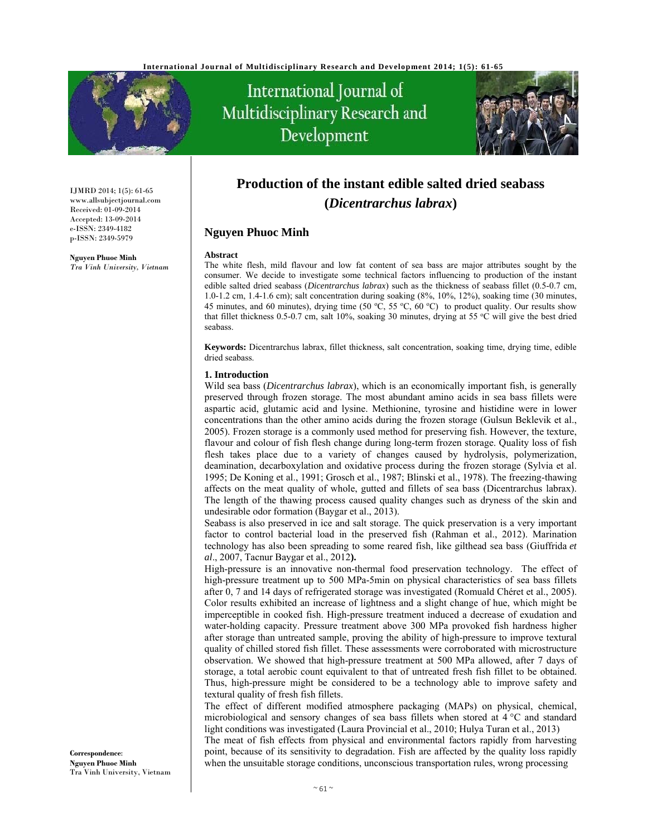

# International Journal of Multidisciplinary Research and Development



IJMRD 2014; 1(5): 61-65 www.allsubjectjournal.com Received: 01-09-2014 Accepted: 13-09-2014 e-ISSN: 2349-4182 p-ISSN: 2349-5979

**Nguyen Phuoc Minh** *Tra Vinh University, Vietnam* 

# **Production of the instant edible salted dried seabass (***Dicentrarchus labrax***)**

### **Nguyen Phuoc Minh**

#### **Abstract**

The white flesh, mild flavour and low fat content of sea bass are major attributes sought by the consumer. We decide to investigate some technical factors influencing to production of the instant edible salted dried seabass (*Dicentrarchus labrax*) such as the thickness of seabass fillet (0.5-0.7 cm, 1.0-1.2 cm, 1.4-1.6 cm); salt concentration during soaking (8%, 10%, 12%), soaking time (30 minutes, 45 minutes, and 60 minutes), drying time (50 °C, 55 °C, 60 °C) to product quality. Our results show that fillet thickness 0.5-0.7 cm, salt 10%, soaking 30 minutes, drying at 55 °C will give the best dried seabass.

**Keywords:** Dicentrarchus labrax, fillet thickness, salt concentration, soaking time, drying time, edible dried seabass.

#### **1. Introduction**

Wild sea bass (*Dicentrarchus labrax*), which is an economically important fish, is generally preserved through frozen storage. The most abundant amino acids in sea bass fillets were aspartic acid, glutamic acid and lysine. Methionine, tyrosine and histidine were in lower concentrations than the other amino acids during the frozen storage (Gulsun Beklevik et al., 2005). Frozen storage is a commonly used method for preserving fish. However, the texture, flavour and colour of fish flesh change during long-term frozen storage. Quality loss of fish flesh takes place due to a variety of changes caused by hydrolysis, polymerization, deamination, decarboxylation and oxidative process during the frozen storage (Sylvia et al. 1995; De Koning et al., 1991; Grosch et al., 1987; Blinski et al., 1978). The freezing-thawing affects on the meat quality of whole, gutted and fillets of sea bass (Dicentrarchus labrax). The length of the thawing process caused quality changes such as dryness of the skin and undesirable odor formation (Baygar et al., 2013).

Seabass is also preserved in ice and salt storage. The quick preservation is a very important factor to control bacterial load in the preserved fish (Rahman et al., 2012). Marination technology has also been spreading to some reared fish, like gilthead sea bass (Giuffrida *et al*., 2007, Tacnur Baygar et al., 2012**).**

High-pressure is an innovative non-thermal food preservation technology. The effect of high-pressure treatment up to 500 MPa-5min on physical characteristics of sea bass fillets after 0, 7 and 14 days of refrigerated storage was investigated (Romuald Chéret et al., 2005). Color results exhibited an increase of lightness and a slight change of hue, which might be imperceptible in cooked fish. High-pressure treatment induced a decrease of exudation and water-holding capacity. Pressure treatment above 300 MPa provoked fish hardness higher after storage than untreated sample, proving the ability of high-pressure to improve textural quality of chilled stored fish fillet. These assessments were corroborated with microstructure observation. We showed that high-pressure treatment at 500 MPa allowed, after 7 days of storage, a total aerobic count equivalent to that of untreated fresh fish fillet to be obtained. Thus, high-pressure might be considered to be a technology able to improve safety and textural quality of fresh fish fillets.

The effect of different modified atmosphere packaging (MAPs) on physical, chemical, microbiological and sensory changes of sea bass fillets when stored at 4 °C and standard light conditions was investigated (Laura Provincial et al., 2010; Hulya Turan et al., 2013)

The meat of fish effects from physical and environmental factors rapidly from harvesting point, because of its sensitivity to degradation. Fish are affected by the quality loss rapidly when the unsuitable storage conditions, unconscious transportation rules, wrong processing

**Correspondence**: **Nguyen Phuoc Minh** Tra Vinh University, Vietnam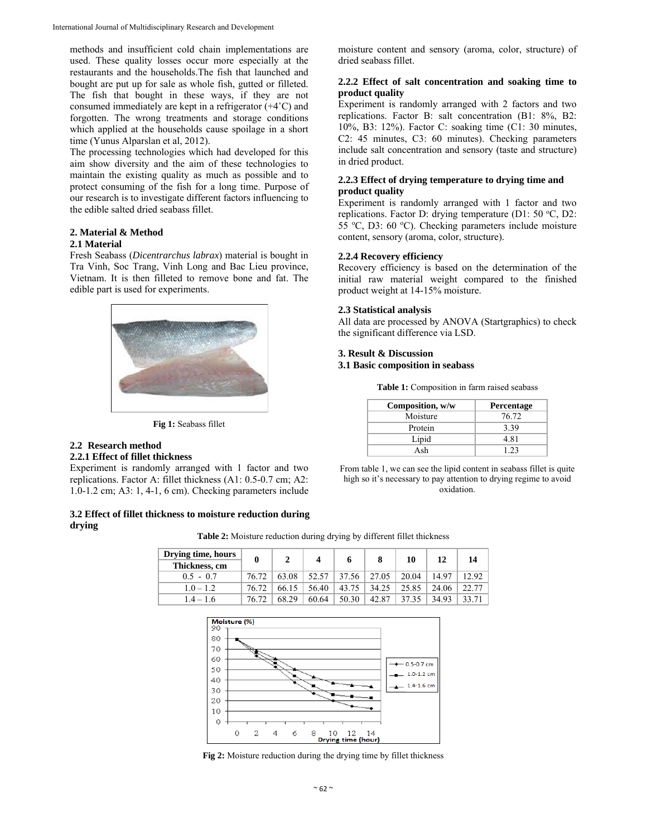methods and insufficient cold chain implementations are used. These quality losses occur more especially at the restaurants and the households.The fish that launched and bought are put up for sale as whole fish, gutted or filleted. The fish that bought in these ways, if they are not consumed immediately are kept in a refrigerator (+4˚C) and forgotten. The wrong treatments and storage conditions which applied at the households cause spoilage in a short time (Yunus Alparslan et al, 2012).

The processing technologies which had developed for this aim show diversity and the aim of these technologies to maintain the existing quality as much as possible and to protect consuming of the fish for a long time. Purpose of our research is to investigate different factors influencing to the edible salted dried seabass fillet.

# **2. Material & Method**

## **2.1 Material**

Fresh Seabass (*Dicentrarchus labrax*) material is bought in Tra Vinh, Soc Trang, Vinh Long and Bac Lieu province, Vietnam. It is then filleted to remove bone and fat. The edible part is used for experiments.



**Fig 1:** Seabass fillet

# **2.2 Research method**

#### **2.2.1 Effect of fillet thickness**

Experiment is randomly arranged with 1 factor and two replications. Factor A: fillet thickness (A1: 0.5-0.7 cm; A2: 1.0-1.2 cm; A3: 1, 4-1, 6 cm). Checking parameters include

#### **3.2 Effect of fillet thickness to moisture reduction during drying**

moisture content and sensory (aroma, color, structure) of dried seabass fillet.

#### **2.2.2 Effect of salt concentration and soaking time to product quality**

Experiment is randomly arranged with 2 factors and two replications. Factor B: salt concentration (B1: 8%, B2: 10%, B3: 12%). Factor C: soaking time (C1: 30 minutes, C2: 45 minutes, C3: 60 minutes). Checking parameters include salt concentration and sensory (taste and structure) in dried product.

#### **2.2.3 Effect of drying temperature to drying time and product quality**

Experiment is randomly arranged with 1 factor and two replications. Factor D: drying temperature (D1: 50 °C, D2: 55 °C, D3: 60 °C). Checking parameters include moisture content, sensory (aroma, color, structure).

#### **2.2.4 Recovery efficiency**

Recovery efficiency is based on the determination of the initial raw material weight compared to the finished product weight at 14-15% moisture.

#### **2.3 Statistical analysis**

All data are processed by ANOVA (Startgraphics) to check the significant difference via LSD.

# **3. Result & Discussion**

# **3.1 Basic composition in seabass**

**Table 1:** Composition in farm raised seabass

| Composition, w/w | Percentage |
|------------------|------------|
| Moisture         | 76.72      |
| Protein          | 3.39       |
| Lipid            | 4.81       |
| Ash              | 1 23       |

From table 1, we can see the lipid content in seabass fillet is quite high so it's necessary to pay attention to drying regime to avoid oxidation.

| Drying time, hours |          |       |       |       |       |       |       |       |
|--------------------|----------|-------|-------|-------|-------|-------|-------|-------|
| Thickness, cm      | $\bf{0}$ |       |       |       | 8     | 10    | 12    | 14    |
| $0.5 - 0.7$        | 76.72    | 63.08 |       | 37.56 | 27.05 | 20.04 | 14.97 | 12.92 |
| $10 - 12$          | 76.72    | 66.15 | 56.40 | 43.75 | 34.25 | 25.85 | 24.06 | 22.77 |
| $4 - 16$           | 76.72    | 68.29 | 60.64 | 50.30 | 42.87 | 37.35 | 34.93 |       |

**Table 2:** Moisture reduction during drying by different fillet thickness

Moisture (%) 90 80  $70$ 60 0.5-0.7 cm 50  $10-12cm$  $40$  $14-16cm$  $30$ 20  $10$  $\Omega$ 0  $\overline{\mathbf{c}}$  $\overline{4}$ 6  $10$ 8  $12$ Drying time (hour)

**Fig 2:** Moisture reduction during the drying time by fillet thickness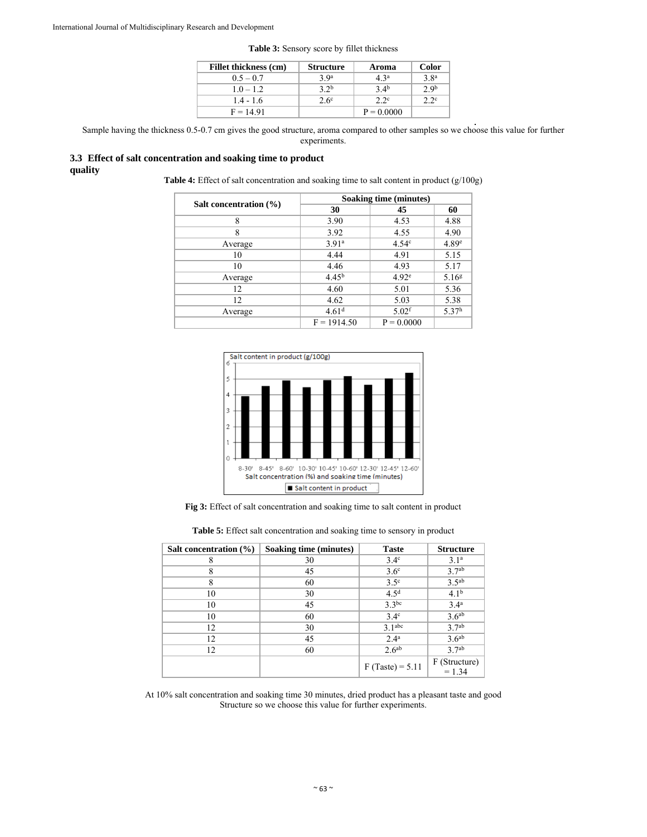| Fillet thickness (cm) | <b>Structure</b> | Aroma           | <b>Color</b>     |
|-----------------------|------------------|-----------------|------------------|
| $0.5 - 0.7$           | 3.9 <sup>a</sup> | $4\,3^a$        | 3.8 <sup>a</sup> |
| $1.0 - 1.2$           | 32 <sup>b</sup>  | 34 <sup>b</sup> | 2.9 <sup>b</sup> |
| $1.4 - 1.6$           | $2.6^{\circ}$    | 22c             | 2 2c             |
| $F = 14.91$           |                  | $P = 0.0000$    |                  |

**Table 3:** Sensory score by fillet thickness

Sample having the thickness 0.5-0.7 cm gives the good structure, aroma compared to other samples so we choose this value for further experiments.

#### **3.3 Effect of salt concentration and soaking time to product quality**

Table 4: Effect of salt concentration and soaking time to salt content in product (g/100g)

|                        |                   | Soaking time (minutes) |                   |
|------------------------|-------------------|------------------------|-------------------|
| Salt concentration (%) | 30                | 45                     | 60                |
| 8                      | 3.90              | 4.53                   | 4.88              |
| 8                      | 3.92              | 4.55                   | 4.90              |
| Average                | 3.91 <sup>a</sup> | 4.54 <sup>c</sup>      | 4.89 <sup>e</sup> |
| 10                     | 4.44              | 4.91                   | 5.15              |
| 10                     | 4.46              | 4.93                   | 5.17              |
| Average                | 4.45 <sup>b</sup> | 4.92 <sup>e</sup>      | 5.16 <sup>g</sup> |
| 12                     | 4.60              | 5.01                   | 5.36              |
| 12                     | 4.62              | 5.03                   | 5.38              |
| Average                | 4.61 <sup>d</sup> | $5.02$ <sup>f</sup>    | 5.37 <sup>h</sup> |
|                        | $F = 1914.50$     | $P = 0.0000$           |                   |



**Fig 3:** Effect of salt concentration and soaking time to salt content in product

|  | Table 5: Effect salt concentration and soaking time to sensory in product |  |  |  |
|--|---------------------------------------------------------------------------|--|--|--|
|  |                                                                           |  |  |  |

| Salt concentration $(\% )$ | Soaking time (minutes) | <b>Taste</b>       | <b>Structure</b>          |
|----------------------------|------------------------|--------------------|---------------------------|
| 8                          | 30                     | $3.4^\circ$        | 3.1 <sup>a</sup>          |
| 8                          | 45                     | 3.6 <sup>c</sup>   | 3.7 <sup>ab</sup>         |
| 8                          | 60                     | 3.5 <sup>c</sup>   | 3.5 <sup>ab</sup>         |
| 10                         | 30                     | 4.5 <sup>d</sup>   | $4.1^{b}$                 |
| 10                         | 45                     | $3.3^{bc}$         | 3.4 <sup>a</sup>          |
| 10                         | 60                     | $3.4^\circ$        | 3.6 <sup>ab</sup>         |
| 12                         | 30                     | 3.1 <sup>abc</sup> | 3.7 <sup>ab</sup>         |
| 12                         | 45                     | 2.4 <sup>a</sup>   | 3.6 <sup>ab</sup>         |
| 12                         | 60                     | 2.6 <sup>ab</sup>  | 3.7 <sup>ab</sup>         |
|                            |                        | $F(Taste) = 5.11$  | F (Structure)<br>$= 1.34$ |

At 10% salt concentration and soaking time 30 minutes, dried product has a pleasant taste and good Structure so we choose this value for further experiments.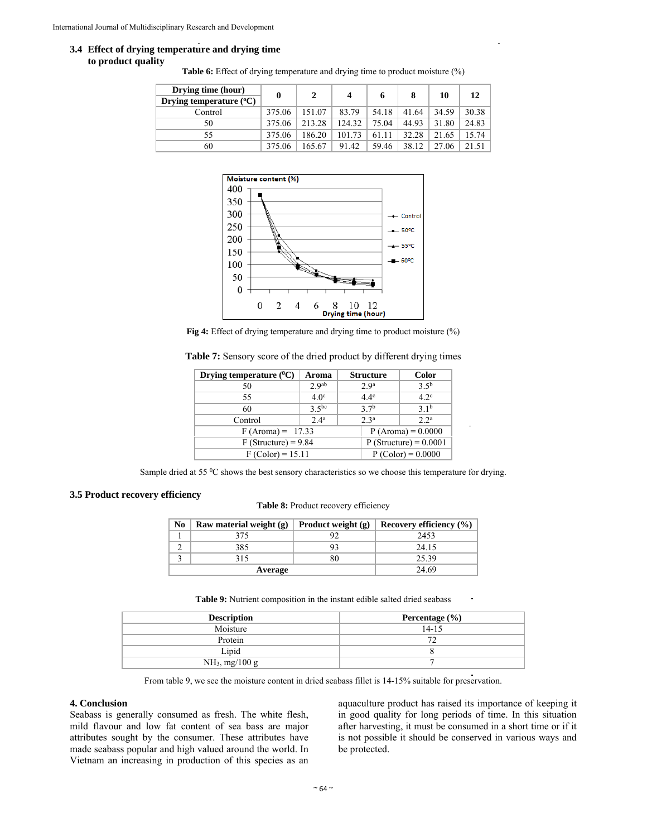#### **3.4 Effect of drying temperature and drying time to product quality**

**Table 6:** Effect of drying temperature and drying time to product moisture  $(\%)$ 

| Drying time (hour)<br>Drying temperature $(°C)$ | 0      |        | 4      | 6     |       | 10    | 12    |
|-------------------------------------------------|--------|--------|--------|-------|-------|-------|-------|
| Control                                         | 375.06 | 151.07 | 83.79  | 54.18 | 41.64 | 34.59 | 30.38 |
| 50                                              | 375.06 | 213.28 | 124.32 | 75.04 | 44.93 | 31.80 | 24.83 |
| 55                                              | 375.06 | 186.20 | 101.73 | 61.11 | 32.28 | 21.65 | 1574  |
| 60                                              | 375.06 | 165.67 | 91.42  | 59.46 | 38.12 | 27.06 | 21.51 |



**Fig 4:** Effect of drying temperature and drying time to product moisture  $(\%)$ 

| Table 7: Sensory score of the dried product by different drying times |  |  |  |  |  |
|-----------------------------------------------------------------------|--|--|--|--|--|
|-----------------------------------------------------------------------|--|--|--|--|--|

| Drying temperature $(^{0}C)$<br>Aroma |                  |                                                                                                                       |  |  |
|---------------------------------------|------------------|-----------------------------------------------------------------------------------------------------------------------|--|--|
| 2.9 <sup>ab</sup>                     | 2.9 <sup>a</sup> | 3.5 <sup>b</sup>                                                                                                      |  |  |
| 4.0 <sup>c</sup>                      | $44^c$           | $42^{\circ}$                                                                                                          |  |  |
| 3,5<br>60                             |                  |                                                                                                                       |  |  |
| 2.4 <sup>a</sup><br>Control           |                  |                                                                                                                       |  |  |
| $F(Aroma) = 17.33$                    |                  |                                                                                                                       |  |  |
| $F$ (Structure) = 9.84                |                  |                                                                                                                       |  |  |
| $F (Color) = 15.11$                   |                  |                                                                                                                       |  |  |
|                                       |                  | <b>Structure</b><br>37 <sup>b</sup><br>2a<br>$P (Aroma) = 0.0000$<br>$P$ (Structure) = 0.0001<br>$P (Color) = 0.0000$ |  |  |

Sample dried at 55 °C shows the best sensory characteristics so we choose this temperature for drying.

## **3.5 Product recovery efficiency**

Table 8: Product recovery efficiency

| No | Raw material weight $(g)$ | Recovery efficiency (%) |       |
|----|---------------------------|-------------------------|-------|
|    | 375                       |                         | 2453  |
|    | 385                       |                         | 24.15 |
|    | 315                       | 80                      | 25.39 |
|    | Average                   | 24.69                   |       |

**Table 9:** Nutrient composition in the instant edible salted dried seabass

| <b>Description</b>         | Percentage $(\% )$ |
|----------------------------|--------------------|
| Moisture                   | $14 - 15$          |
| Protein                    |                    |
| Lipid                      |                    |
| NH <sub>3</sub> , mg/100 g |                    |

From table 9, we see the moisture content in dried seabass fillet is 14-15% suitable for preservation.

#### **4. Conclusion**

Seabass is generally consumed as fresh. The white flesh, mild flavour and low fat content of sea bass are major attributes sought by the consumer. These attributes have made seabass popular and high valued around the world. In Vietnam an increasing in production of this species as an

aquaculture product has raised its importance of keeping it in good quality for long periods of time. In this situation after harvesting, it must be consumed in a short time or if it is not possible it should be conserved in various ways and be protected.